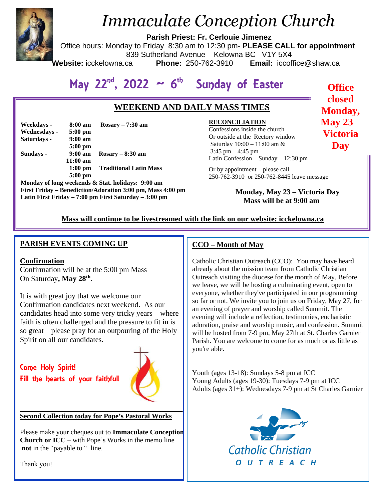

# *Immaculate Conception Church*

**Parish Priest: Fr. Cerlouie Jimenez**

Office hours: Monday to Friday 8:30 am to 12:30 pm- **PLEASE CALL for appointment**

839 Sutherland Avenue Kelowna BC V1Y 5X4

Website: icckelowna.ca

**Phone:** 250-762-3910 **Email:** iccoffice@shaw.ca

**Office closed Monday, May 23 – Victoria Day**

#### <sup>th</sup> Sunday of Easter May 22<sup>nd</sup>, 2022 ~ 6

## **WEEKEND AND DAILY MASS TIMES**

| Weekdays -   | 8:00 am           | Rosary $-7:30$ am             |
|--------------|-------------------|-------------------------------|
| Wednesdays - | $5:00 \text{ pm}$ |                               |
| Saturdays -  | $9:00 \text{ am}$ |                               |
|              | $5:00$ pm         |                               |
| Sundays -    | $9:00 \text{ am}$ | $Rosary - 8:30$ am            |
|              | $11:00$ am        |                               |
|              | $1:00$ pm         | <b>Traditional Latin Mass</b> |
|              | $5:00$ pm         |                               |

**Monday of long weekends & Stat. holidays: 9:00 am First Friday – Benediction/Adoration 3:00 pm, Mass 4:00 pm Latin First Friday – 7:00 pm First Saturday – 3:00 pm** 

#### **RECONCILIATION**

 Latin Confession – Sunday – 12:30 pm Confessions inside the church Or outside at the Rectory window Saturday 10:00 – 11:00 am & 3:45 pm – 4:45 pm

Or by appointment – please call 250-762-3910 or 250-762-8445 leave message

> **Monday, May 23 – Victoria Day Mass will be at 9:00 am**

#### **Mass will continue to be livestreamed with the link on our website: icckelowna.ca**

#### **PARISH EVENTS COMING UP**

#### **Confirmation**

Confirmation will be at the 5:00 pm Mass On Saturday**, May 28th** .

It is with great joy that we welcome our Confirmation candidates next weekend. As our candidates head into some very tricky years – where faith is often challenged and the pressure to fit in is so great – please pray for an outpouring of the Holy Spirit on all our candidates.

Come Holy Spirit! Fill the hearts of your faithful!



#### **Second Collection today for Pope's Pastoral Works**

Please make your cheques out to **Immaculate Conception Church or ICC** – with Pope's Works in the memo line **not** in the "payable to " line.

**\_\_\_\_\_\_\_\_\_\_\_\_\_\_\_\_\_\_\_\_\_\_\_\_\_\_\_\_\_\_\_\_\_\_\_\_\_\_\_\_\_\_\_\_\_\_\_**

#### **CCO – Month of May**

Catholic Christian Outreach (CCO): You may have heard already about the mission team from Catholic Christian Outreach visiting the diocese for the month of May. Before we leave, we will be hosting a culminating event, open to everyone, whether they've participated in our programming so far or not. We invite you to join us on Friday, May 27, for an evening of prayer and worship called Summit. The evening will include a reflection, testimonies, eucharistic adoration, praise and worship music, and confession. Summit will be hosted from 7-9 pm, May 27th at St. Charles Garnier Parish. You are welcome to come for as much or as little as you're able.

Youth (ages 13-18): Sundays 5-8 pm at ICC Young Adults (ages 19-30): Tuesdays 7-9 pm at ICC Adults (ages 31+): Wednesdays 7-9 pm at St Charles Garnier



Thank you!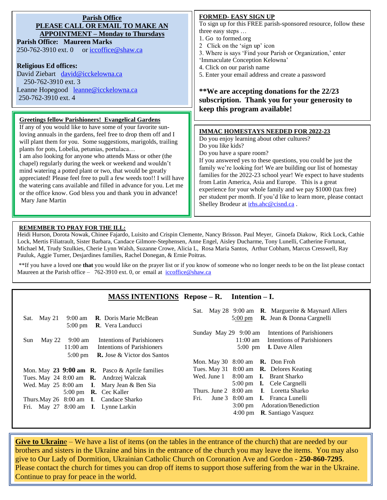| <b>Parish Office</b><br>PLEASE CALL OR EMAIL TO MAKE AN                                                                                                                                                                                                                                                                                                                                                                                                                                                                                                                                                                                                                                                                                 | <b>FORMED- EASY SIGN UP</b><br>To sign up for this FREE parish-sponsored resource, follow these                                                                                                                                                                                                                                                                                                                                                                                                                                                                                           |
|-----------------------------------------------------------------------------------------------------------------------------------------------------------------------------------------------------------------------------------------------------------------------------------------------------------------------------------------------------------------------------------------------------------------------------------------------------------------------------------------------------------------------------------------------------------------------------------------------------------------------------------------------------------------------------------------------------------------------------------------|-------------------------------------------------------------------------------------------------------------------------------------------------------------------------------------------------------------------------------------------------------------------------------------------------------------------------------------------------------------------------------------------------------------------------------------------------------------------------------------------------------------------------------------------------------------------------------------------|
| <b>APPOINTMENT – Monday to Thursdays</b><br><b>Parish Office: Maureen Marks</b><br>250-762-3910 ext. 0 or iccoffice@shaw.ca<br><b>Religious Ed offices:</b><br>David Ziebart david@icckelowna.ca<br>250-762-3910 ext. 3<br>Leanne Hopegood leanne@icckelowna.ca                                                                                                                                                                                                                                                                                                                                                                                                                                                                         | three easy steps<br>1. Go to formed.org<br>2 Click on the 'sign up' icon<br>3. Where is says 'Find your Parish or Organization,' enter<br>'Immaculate Conception Kelowna'<br>4. Click on our parish name<br>5. Enter your email address and create a password<br>**We are accepting donations for the 22/23                                                                                                                                                                                                                                                                               |
| 250-762-3910 ext. 4                                                                                                                                                                                                                                                                                                                                                                                                                                                                                                                                                                                                                                                                                                                     | subscription. Thank you for your generosity to                                                                                                                                                                                                                                                                                                                                                                                                                                                                                                                                            |
|                                                                                                                                                                                                                                                                                                                                                                                                                                                                                                                                                                                                                                                                                                                                         | keep this program available!                                                                                                                                                                                                                                                                                                                                                                                                                                                                                                                                                              |
| <b>Greetings fellow Parishioners! Evangelical Gardens</b><br>If any of you would like to have some of your favorite sun-<br>loving annuals in the gardens, feel free to drop them off and I<br>will plant them for you. Some suggestions, marigolds, trailing<br>plants for pots, Lobelia, petunias, portulaca<br>I am also looking for anyone who attends Mass or other (the<br>chapel) regularly during the week or weekend and wouldn't<br>mind watering a potted plant or two, that would be greatly<br>appreciated! Please feel free to pull a few weeds too!! I will have<br>the watering cans available and filled in advance for you. Let me<br>or the office know. God bless you and thank you in advance!<br>Mary Jane Martin | <b>IMMAC HOMESTAYS NEEDED FOR 2022-23</b><br>Do you enjoy learning about other cultures?<br>Do you like kids?<br>Do you have a spare room?<br>If you answered yes to these questions, you could be just the<br>family we're looking for! We are building our list of homestay<br>families for the 2022-23 school year! We expect to have students<br>from Latin America, Asia and Europe. This is a great<br>experience for your whole family and we pay \$1000 (tax free)<br>per student per month. If you'd like to learn more, please contact<br>Shelley Brodeur at irhs.ahc@cisnd.ca. |

#### **REMEMBER TO PRAY FOR THE ILL:**

Heidi Hurson, Dorota Nowak, Chinee Fajardo, Luisito and Crispin Clemente, Nancy Brisson. Paul Meyer, Ginoefa Diakow, Rick Lock, Cathie Lock, Mertis Filiatrault, Sister Barbara, Candace Gilmore-Stephensen, Anne Engel, Aisley Ducharme, Tony Lunelli, Catherine Fortunat, Michael M, Trudy Szulkies, Cherie Lynn Walsh, Suzanne Crowe, Alicia L, Rosa Maria Santos, Arthur Cobham, Marcus Cresswell, Ray Pauluk, Aggie Turner, Desjardines families, Rachel Donegan, & Ernie Poitras.

\*\*If you have a loved one **that** you would like on the prayer list or if you know of someone who no longer needs to be on the list please contact Maureen at the Parish office – 762-3910 ext. 0, or email at iccoffice@shaw.ca

#### **MASS INTENTIONS Repose – R. Intention – I.**

|                                                               | Sat. May 28 $9:00$ am <b>R</b> . Marguerite & Maynard Allers |
|---------------------------------------------------------------|--------------------------------------------------------------|
| 9:00 am <b>R</b> . Doris Marie McBean<br>May 21<br>Sat.       | 5:00 pm <b>R.</b> Jean & Donna Cargnelli                     |
| <b>R.</b> Vera Landucci<br>$5:00 \text{ pm}$                  |                                                              |
|                                                               | Sunday May 29 9:00 am Intentions of Parishioners             |
| <b>Intentions of Parishioners</b><br>9:00 am<br>May 22<br>Sun | 11:00 am Intentions of Parishioners                          |
| $11:00 \text{ am}$<br>Intentions of Parishioners              | $5:00 \text{ pm}$<br><b>I.</b> Dave Allen                    |
| $5:00 \text{ pm}$<br><b>R.</b> Jose & Victor dos Santos       |                                                              |
|                                                               | Mon. May 30 $8:00$ am $\,\mathbf{R}$ . Don Froh              |
| Mon. May 23 9:00 am R. Pasco & Aprile families                | Tues. May 31 8:00 am <b>R.</b> Delores Keating               |
| Tues. May 24 8:00 am <b>R.</b> Andrzej Walczak                | Wed. June 1 8:00 am <b>I.</b> Brant Sharko                   |
| Wed. May 25 8:00 am I. Mary Jean & Ben Sia                    | 5:00 pm <b>I.</b> Cele Cargnelli                             |
| 5:00 pm <b>R.</b> Cec Kaller                                  | Thurs. June 2 8:00 am I. Loretta Sharko                      |
| Thurs. May 26 8:00 am I. Candace Sharko                       | June 3 8:00 am I. Franca Lunelli<br>Fri.                     |
| Fri. May 27 8:00 am I. Lynne Larkin                           | 3:00 pm Adoration/Benediction                                |
|                                                               | 4:00 pm $\,$ <b>R</b> . Santiago Vasquez                     |
|                                                               |                                                              |

**Give to Ukraine** – We have a list of items (on the tables in the entrance of the church) that are needed by our brothers and sisters in the Ukraine and bins in the entrance of the church you may leave the items. You may also give to Our Lady of Dormition, Ukrainian Catholic Church on Coronation Ave and Gordon - **250-860-7295**. Please contact the church for times you can drop off items to support those suffering from the war in the Ukraine. Continue to pray for peace in the world.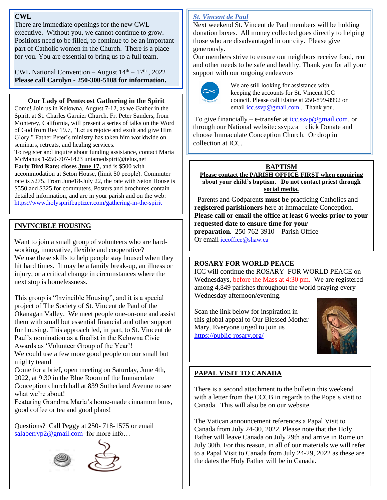#### **CWL**

There are immediate openings for the new CWL executive. Without you, we cannot continue to grow. Positions need to be filled, to continue to be an important part of Catholic women in the Church. There is a place for you. You are essential to bring us to a full team.

CWL National Convention – August  $14<sup>th</sup> - 17<sup>th</sup>$ , 2022 **Please call Carolyn - 250-300-5108 for information.**

#### **Our Lady of Pentecost Gathering in the Spirit**

Come! Join us in Kelowna, August 7-12, as we Gather in the Spirit, at St. Charles Garnier Church. Fr. Peter Sanders, from Monterey, California, will present a series of talks on the Word of God from Rev 19.7, "Let us rejoice and exult and give Him Glory." Father Peter's ministry has taken him worldwide on seminars, retreats, and healing services.

To register and inquire about funding assistance, contact Maria McManus 1-250-707-1423 untamedspirit@telus,net **Early Bird Rate: closes June 17,** and is \$500 with

accommodation at Seton House, (limit 50 people). Commuter rate is \$275. From June18-July 22, the rate with Seton House is \$550 and \$325 for commuters. Posters and brochures contain detailed information, and are in your parish and on the web: <https://www.holyspiritbaptizer.com/gathering-in-the-spirit>

#### **INVINCIBLE HOUSING**

Want to join a small group of volunteers who are hardworking, innovative, flexible and cooperative? We use these skills to help people stay housed when they hit hard times. It may be a family break-up, an illness or injury, or a critical change in circumstances where the next stop is homelessness.

This group is "Invincible Housing", and it is a special project of The Society of St. Vincent de Paul of the Okanagan Valley. We meet people one-on-one and assist them with small but essential financial and other support for housing. This approach led, in part, to St. Vincent de Paul's nomination as a finalist in the Kelowna Civic Awards as 'Volunteer Group of the Year'!

We could use a few more good people on our small but mighty team!

Come for a brief, open meeting on Saturday, June 4th, 2022, at 9:30 in the Blue Room of the Immaculate Conception church hall at 839 Sutherland Avenue to see what we're about!

Featuring Grandma Maria's home-made cinnamon buns, good coffee or tea and good plans!

Questions? Call Peggy at 250- 718-1575 or email [salaberryp2@gmail.com](mailto:salaberryp2@gmail.com) for more info...



#### *St. Vincent de Paul*

Next weekend St. Vincent de Paul members will be holding donation boxes. All money collected goes directly to helping those who are disadvantaged in our city. Please give generously.

Our members strive to ensure our neighbors receive food, rent and other needs to be safe and healthy. Thank you for all your support with our ongoing endeavors



We are still looking for assistance with keeping the accounts for St. Vincent ICC council. Please call Elaine at 250-899-8992 or email  $\frac{icc \, \text{ssvp@gmail.com}}{c}$ . Thank you.

To give financially – e-transfer at  $\frac{icc \, \text{ssvp}\omega \text{gmail.com}}{c}$  or through our National website: ssvp.ca click Donate and choose Immaculate Conception Church. Or drop in collection at ICC.

# **BAPTISM**

**Please contact the PARISH OFFICE FIRST when enquiring about your child's baptism. Do not contact priest through social media.** 

 Parents and Godparents **must be** practicing Catholics and **registered parishioners** here at Immaculate Conception. **Please call or email the office at least 6 weeks prior to your requested date to ensure time for your preparation.** 250-762-3910 – Parish Office Or email [iccoffice@shaw.ca](mailto:iccoffice@shaw.ca) 

#### **ROSARY FOR WORLD PEACE**

ICC will continue the ROSARY FOR WORLD PEACE on Wednesdays, before the Mass at 4:30 pm. We are registered among 4,849 parishes throughout the world praying every Wednesday afternoon/evening.

Scan the link below for inspiration in this global appeal to Our Blessed Mother Mary. Everyone urged to join us <https://public-rosary.org/>



#### **PAPAL VISIT TO CANADA**

There is a second attachment to the bulletin this weekend with a letter from the CCCB in regards to the Pope's visit to Canada. This will also be on our website.

The Vatican announcement references a Papal Visit to Canada from July 24-30, 2022. Please note that the Holy Father will leave Canada on July 29th and arrive in Rome on July 30th. For this reason, in all of our materials we will refer to a Papal Visit to Canada from July 24-29, 2022 as these are the dates the Holy Father will be in Canada.